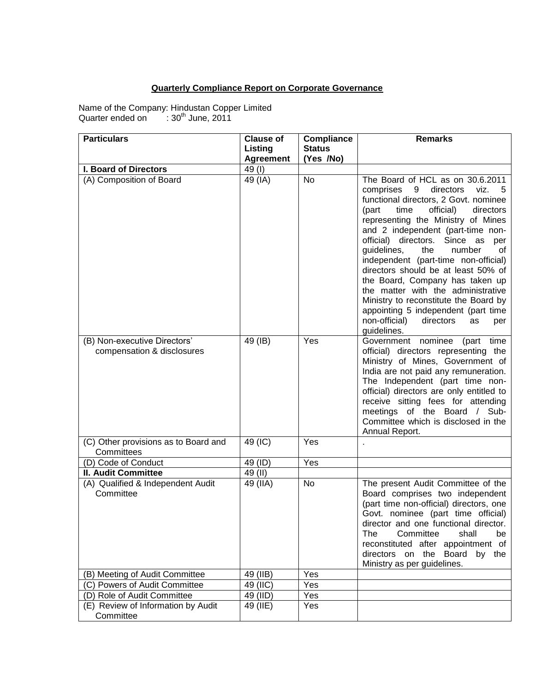## **Quarterly Compliance Report on Corporate Governance**

Name of the Company: Hindustan Copper Limited Quarter ended on : 30<sup>th</sup> June, 2011

| <b>Particulars</b>                                         | <b>Clause of</b> | Compliance        | <b>Remarks</b>                                                                                                                                                                                                                                                                                                                                                                                                                                                                                                                                                                                                             |
|------------------------------------------------------------|------------------|-------------------|----------------------------------------------------------------------------------------------------------------------------------------------------------------------------------------------------------------------------------------------------------------------------------------------------------------------------------------------------------------------------------------------------------------------------------------------------------------------------------------------------------------------------------------------------------------------------------------------------------------------------|
|                                                            | Listing          | <b>Status</b>     |                                                                                                                                                                                                                                                                                                                                                                                                                                                                                                                                                                                                                            |
|                                                            | <b>Agreement</b> | (Yes /No)         |                                                                                                                                                                                                                                                                                                                                                                                                                                                                                                                                                                                                                            |
| <b>I. Board of Directors</b>                               | 49(I)            |                   |                                                                                                                                                                                                                                                                                                                                                                                                                                                                                                                                                                                                                            |
| (A) Composition of Board                                   | 49 (IA)          | No                | The Board of HCL as on 30.6.2011<br>comprises 9<br>directors<br>viz.<br>- 5<br>functional directors, 2 Govt. nominee<br>official)<br>(part<br>time<br>directors<br>representing the Ministry of Mines<br>and 2 independent (part-time non-<br>official) directors. Since as<br>per<br>guidelines,<br>the<br>number<br>0f<br>independent (part-time non-official)<br>directors should be at least 50% of<br>the Board, Company has taken up<br>the matter with the administrative<br>Ministry to reconstitute the Board by<br>appointing 5 independent (part time<br>non-official)<br>directors<br>as<br>per<br>guidelines. |
| (B) Non-executive Directors'<br>compensation & disclosures | 49 (IB)          | Yes               | Government nominee (part<br>time<br>official) directors representing the<br>Ministry of Mines, Government of<br>India are not paid any remuneration.<br>The Independent (part time non-<br>official) directors are only entitled to<br>receive sitting fees for attending<br>meetings of the Board / Sub-<br>Committee which is disclosed in the<br>Annual Report.                                                                                                                                                                                                                                                         |
| (C) Other provisions as to Board and<br>Committees         | 49 (IC)          | Yes               |                                                                                                                                                                                                                                                                                                                                                                                                                                                                                                                                                                                                                            |
| (D) Code of Conduct                                        | 49 (ID)          | Yes               |                                                                                                                                                                                                                                                                                                                                                                                                                                                                                                                                                                                                                            |
| <b>II. Audit Committee</b>                                 | 49 (II)          |                   |                                                                                                                                                                                                                                                                                                                                                                                                                                                                                                                                                                                                                            |
| (A) Qualified & Independent Audit<br>Committee             | 49 (IIA)         | No                | The present Audit Committee of the<br>Board comprises two independent<br>(part time non-official) directors, one<br>Govt. nominee (part time official)<br>director and one functional director.<br>The<br>Committee<br>shall<br>be<br>reconstituted after appointment of<br>directors on the Board<br>by<br>the<br>Ministry as per guidelines.                                                                                                                                                                                                                                                                             |
| (B) Meeting of Audit Committee                             | 49 (IIB)         | $\overline{Y}$ es |                                                                                                                                                                                                                                                                                                                                                                                                                                                                                                                                                                                                                            |
| (C) Powers of Audit Committee                              | 49 (IIC)         | Yes               |                                                                                                                                                                                                                                                                                                                                                                                                                                                                                                                                                                                                                            |
| (D) Role of Audit Committee                                | 49 (IID)         | Yes               |                                                                                                                                                                                                                                                                                                                                                                                                                                                                                                                                                                                                                            |
| (E) Review of Information by Audit<br>Committee            | 49 (IIE)         | Yes               |                                                                                                                                                                                                                                                                                                                                                                                                                                                                                                                                                                                                                            |